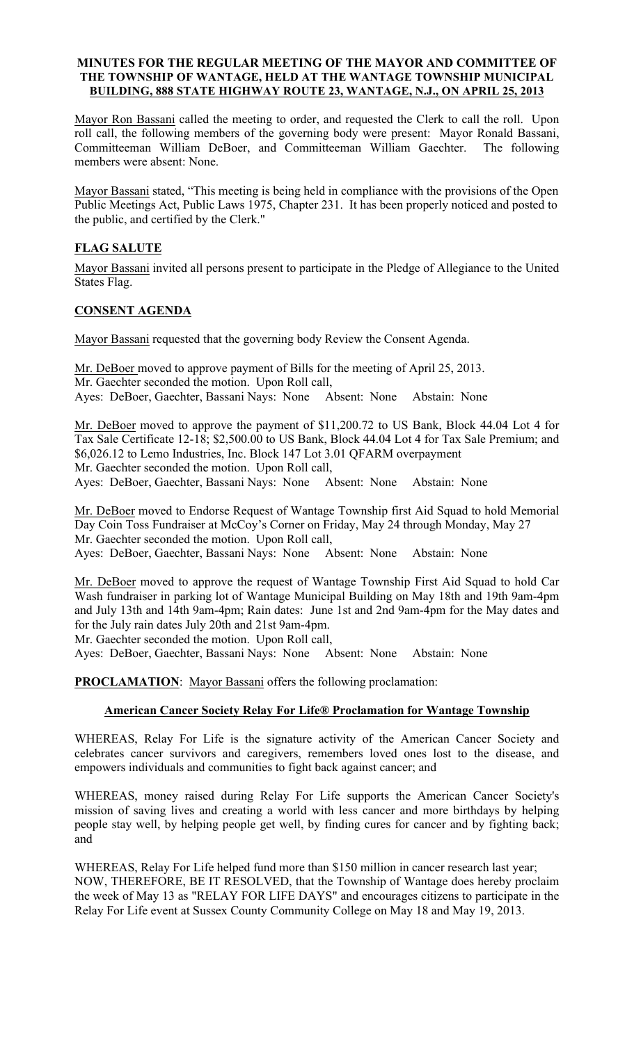#### MINUTES FOR THE REGULAR MEETING OF THE MAYOR AND COMMITTEE OF THE TOWNSHIP OF WANTAGE, HELD AT THE WANTAGE TOWNSHIP MUNICIPAL BUILDING, 888 STATE HIGHWAY ROUTE 23, WANTAGE, N.J., ON APRIL 25, 2013

Mayor Ron Bassani called the meeting to order, and requested the Clerk to call the roll. Upon roll call, the following members of the governing body were present: Mayor Ronald Bassani, Committeeman William DeBoer, and Committeeman William Gaechter. The following members were absent: None.

Mayor Bassani stated, "This meeting is being held in compliance with the provisions of the Open Public Meetings Act, Public Laws 1975, Chapter 231. It has been properly noticed and posted to the public, and certified by the Clerk."

# FLAG SALUTE

Mayor Bassani invited all persons present to participate in the Pledge of Allegiance to the United States Flag.

### CONSENT AGENDA

Mayor Bassani requested that the governing body Review the Consent Agenda.

Mr. DeBoer moved to approve payment of Bills for the meeting of April 25, 2013. Mr. Gaechter seconded the motion. Upon Roll call, Ayes: DeBoer, Gaechter, Bassani Nays: None Absent: None Abstain: None

Mr. DeBoer moved to approve the payment of \$11,200.72 to US Bank, Block 44.04 Lot 4 for Tax Sale Certificate 12-18; \$2,500.00 to US Bank, Block 44.04 Lot 4 for Tax Sale Premium; and \$6,026.12 to Lemo Industries, Inc. Block 147 Lot 3.01 QFARM overpayment Mr. Gaechter seconded the motion. Upon Roll call,

Ayes: DeBoer, Gaechter, Bassani Nays: None Absent: None Abstain: None

Mr. DeBoer moved to Endorse Request of Wantage Township first Aid Squad to hold Memorial Day Coin Toss Fundraiser at McCoy's Corner on Friday, May 24 through Monday, May 27 Mr. Gaechter seconded the motion. Upon Roll call, Ayes: DeBoer, Gaechter, Bassani Nays: None Absent: None Abstain: None

Mr. DeBoer moved to approve the request of Wantage Township First Aid Squad to hold Car Wash fundraiser in parking lot of Wantage Municipal Building on May 18th and 19th 9am-4pm and July 13th and 14th 9am-4pm; Rain dates: June 1st and 2nd 9am-4pm for the May dates and for the July rain dates July 20th and 21st 9am-4pm.

Mr. Gaechter seconded the motion. Upon Roll call,

Ayes: DeBoer, Gaechter, Bassani Nays: None Absent: None Abstain: None

PROCLAMATION: Mayor Bassani offers the following proclamation:

### American Cancer Society Relay For Life® Proclamation for Wantage Township

WHEREAS, Relay For Life is the signature activity of the American Cancer Society and celebrates cancer survivors and caregivers, remembers loved ones lost to the disease, and empowers individuals and communities to fight back against cancer; and

WHEREAS, money raised during Relay For Life supports the American Cancer Society's mission of saving lives and creating a world with less cancer and more birthdays by helping people stay well, by helping people get well, by finding cures for cancer and by fighting back; and

WHEREAS, Relay For Life helped fund more than \$150 million in cancer research last year; NOW, THEREFORE, BE IT RESOLVED, that the Township of Wantage does hereby proclaim the week of May 13 as "RELAY FOR LIFE DAYS" and encourages citizens to participate in the Relay For Life event at Sussex County Community College on May 18 and May 19, 2013.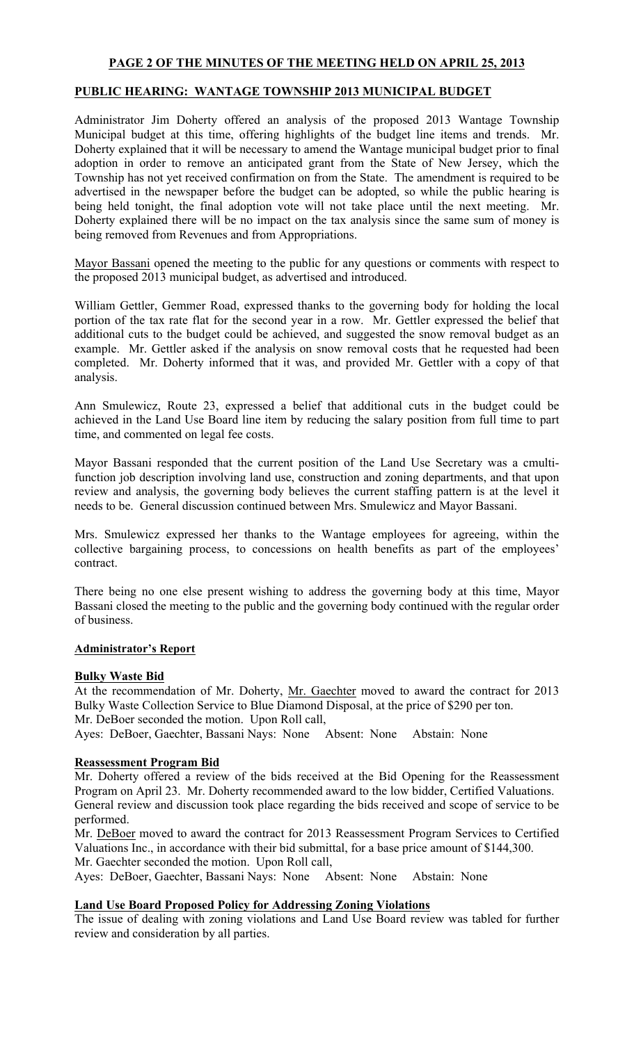# PAGE 2 OF THE MINUTES OF THE MEETING HELD ON APRIL 25, 2013

# PUBLIC HEARING: WANTAGE TOWNSHIP 2013 MUNICIPAL BUDGET

Administrator Jim Doherty offered an analysis of the proposed 2013 Wantage Township Municipal budget at this time, offering highlights of the budget line items and trends. Mr. Doherty explained that it will be necessary to amend the Wantage municipal budget prior to final adoption in order to remove an anticipated grant from the State of New Jersey, which the Township has not yet received confirmation on from the State. The amendment is required to be advertised in the newspaper before the budget can be adopted, so while the public hearing is being held tonight, the final adoption vote will not take place until the next meeting. Mr. Doherty explained there will be no impact on the tax analysis since the same sum of money is being removed from Revenues and from Appropriations.

Mayor Bassani opened the meeting to the public for any questions or comments with respect to the proposed 2013 municipal budget, as advertised and introduced.

William Gettler, Gemmer Road, expressed thanks to the governing body for holding the local portion of the tax rate flat for the second year in a row. Mr. Gettler expressed the belief that additional cuts to the budget could be achieved, and suggested the snow removal budget as an example. Mr. Gettler asked if the analysis on snow removal costs that he requested had been completed. Mr. Doherty informed that it was, and provided Mr. Gettler with a copy of that analysis.

Ann Smulewicz, Route 23, expressed a belief that additional cuts in the budget could be achieved in the Land Use Board line item by reducing the salary position from full time to part time, and commented on legal fee costs.

Mayor Bassani responded that the current position of the Land Use Secretary was a cmultifunction job description involving land use, construction and zoning departments, and that upon review and analysis, the governing body believes the current staffing pattern is at the level it needs to be. General discussion continued between Mrs. Smulewicz and Mayor Bassani.

Mrs. Smulewicz expressed her thanks to the Wantage employees for agreeing, within the collective bargaining process, to concessions on health benefits as part of the employees' contract.

There being no one else present wishing to address the governing body at this time, Mayor Bassani closed the meeting to the public and the governing body continued with the regular order of business.

#### Administrator's Report

### Bulky Waste Bid

At the recommendation of Mr. Doherty, Mr. Gaechter moved to award the contract for 2013 Bulky Waste Collection Service to Blue Diamond Disposal, at the price of \$290 per ton. Mr. DeBoer seconded the motion. Upon Roll call,

Ayes: DeBoer, Gaechter, Bassani Nays: None Absent: None Abstain: None

# Reassessment Program Bid

Mr. Doherty offered a review of the bids received at the Bid Opening for the Reassessment Program on April 23. Mr. Doherty recommended award to the low bidder, Certified Valuations. General review and discussion took place regarding the bids received and scope of service to be performed.

Mr. DeBoer moved to award the contract for 2013 Reassessment Program Services to Certified Valuations Inc., in accordance with their bid submittal, for a base price amount of \$144,300. Mr. Gaechter seconded the motion. Upon Roll call,

Ayes: DeBoer, Gaechter, Bassani Nays: None Absent: None Abstain: None

### Land Use Board Proposed Policy for Addressing Zoning Violations

The issue of dealing with zoning violations and Land Use Board review was tabled for further review and consideration by all parties.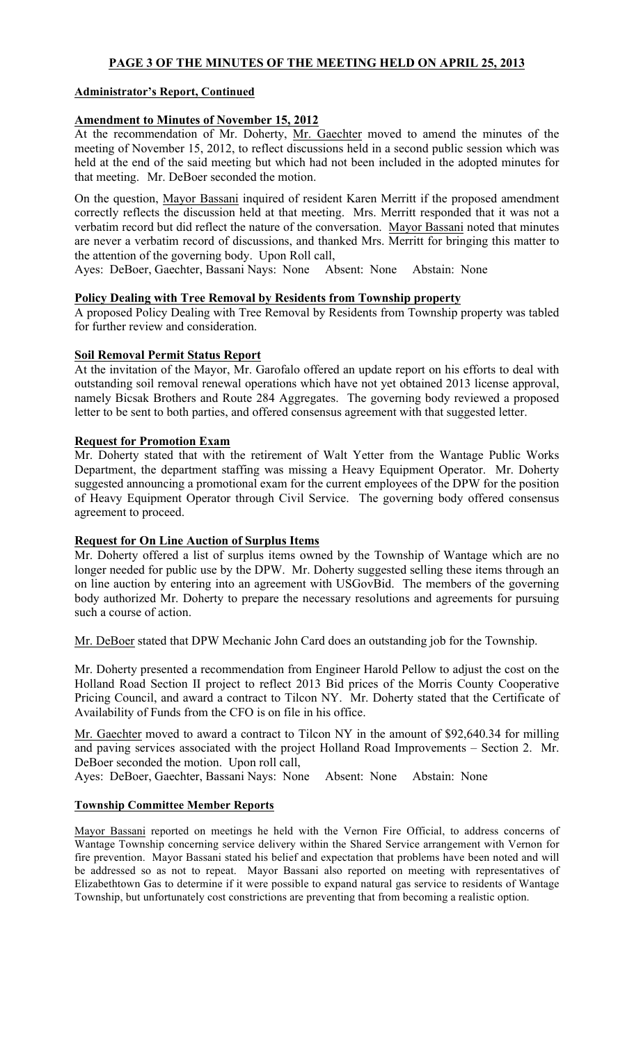# PAGE 3 OF THE MINUTES OF THE MEETING HELD ON APRIL 25, 2013

### Administrator's Report, Continued

### Amendment to Minutes of November 15, 2012

At the recommendation of Mr. Doherty, Mr. Gaechter moved to amend the minutes of the meeting of November 15, 2012, to reflect discussions held in a second public session which was held at the end of the said meeting but which had not been included in the adopted minutes for that meeting. Mr. DeBoer seconded the motion.

On the question, Mayor Bassani inquired of resident Karen Merritt if the proposed amendment correctly reflects the discussion held at that meeting. Mrs. Merritt responded that it was not a verbatim record but did reflect the nature of the conversation. Mayor Bassani noted that minutes are never a verbatim record of discussions, and thanked Mrs. Merritt for bringing this matter to the attention of the governing body. Upon Roll call,

Ayes: DeBoer, Gaechter, Bassani Nays: None Absent: None Abstain: None

### Policy Dealing with Tree Removal by Residents from Township property

A proposed Policy Dealing with Tree Removal by Residents from Township property was tabled for further review and consideration.

# Soil Removal Permit Status Report

At the invitation of the Mayor, Mr. Garofalo offered an update report on his efforts to deal with outstanding soil removal renewal operations which have not yet obtained 2013 license approval, namely Bicsak Brothers and Route 284 Aggregates. The governing body reviewed a proposed letter to be sent to both parties, and offered consensus agreement with that suggested letter.

### Request for Promotion Exam

Mr. Doherty stated that with the retirement of Walt Yetter from the Wantage Public Works Department, the department staffing was missing a Heavy Equipment Operator. Mr. Doherty suggested announcing a promotional exam for the current employees of the DPW for the position of Heavy Equipment Operator through Civil Service. The governing body offered consensus agreement to proceed.

### Request for On Line Auction of Surplus Items

Mr. Doherty offered a list of surplus items owned by the Township of Wantage which are no longer needed for public use by the DPW. Mr. Doherty suggested selling these items through an on line auction by entering into an agreement with USGovBid. The members of the governing body authorized Mr. Doherty to prepare the necessary resolutions and agreements for pursuing such a course of action.

Mr. DeBoer stated that DPW Mechanic John Card does an outstanding job for the Township.

Mr. Doherty presented a recommendation from Engineer Harold Pellow to adjust the cost on the Holland Road Section II project to reflect 2013 Bid prices of the Morris County Cooperative Pricing Council, and award a contract to Tilcon NY. Mr. Doherty stated that the Certificate of Availability of Funds from the CFO is on file in his office.

Mr. Gaechter moved to award a contract to Tilcon NY in the amount of \$92,640.34 for milling and paving services associated with the project Holland Road Improvements – Section 2. Mr. DeBoer seconded the motion. Upon roll call,

Ayes: DeBoer, Gaechter, Bassani Nays: None Absent: None Abstain: None

### Township Committee Member Reports

Mayor Bassani reported on meetings he held with the Vernon Fire Official, to address concerns of Wantage Township concerning service delivery within the Shared Service arrangement with Vernon for fire prevention. Mayor Bassani stated his belief and expectation that problems have been noted and will be addressed so as not to repeat. Mayor Bassani also reported on meeting with representatives of Elizabethtown Gas to determine if it were possible to expand natural gas service to residents of Wantage Township, but unfortunately cost constrictions are preventing that from becoming a realistic option.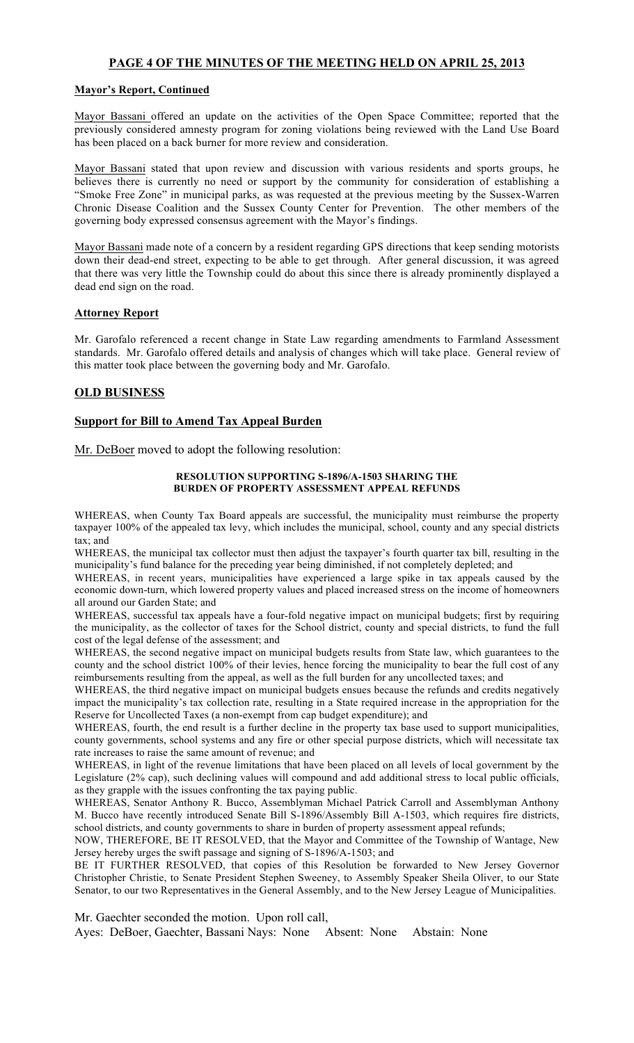# PAGE 4 OF THE MINUTES OF THE MEETING HELD ON APRIL 25, 2013

#### Mayor's Report, Continued

Mayor Bassani offered an update on the activities of the Open Space Committee; reported that the previously considered amnesty program for zoning violations being reviewed with the Land Use Board has been placed on a back burner for more review and consideration.

Mayor Bassani stated that upon review and discussion with various residents and sports groups, he believes there is currently no need or support by the community for consideration of establishing a "Smoke Free Zone" in municipal parks, as was requested at the previous meeting by the Sussex-Warren Chronic Disease Coalition and the Sussex County Center for Prevention. The other members of the governing body expressed consensus agreement with the Mayor's findings.

Mayor Bassani made note of a concern by a resident regarding GPS directions that keep sending motorists down their dead-end street, expecting to be able to get through. After general discussion, it was agreed that there was very little the Township could do about this since there is already prominently displayed a dead end sign on the road.

#### Attorney Report

Mr. Garofalo referenced a recent change in State Law regarding amendments to Farmland Assessment standards. Mr. Garofalo offered details and analysis of changes which will take place. General review of this matter took place between the governing body and Mr. Garofalo.

#### OLD BUSINESS

### Support for Bill to Amend Tax Appeal Burden

Mr. DeBoer moved to adopt the following resolution:

#### RESOLUTION SUPPORTING S-1896/A-1503 SHARING THE BURDEN OF PROPERTY ASSESSMENT APPEAL REFUNDS

WHEREAS, when County Tax Board appeals are successful, the municipality must reimburse the property taxpayer 100% of the appealed tax levy, which includes the municipal, school, county and any special districts tax; and

WHEREAS, the municipal tax collector must then adjust the taxpayer's fourth quarter tax bill, resulting in the municipality's fund balance for the preceding year being diminished, if not completely depleted; and

WHEREAS, in recent years, municipalities have experienced a large spike in tax appeals caused by the economic down-turn, which lowered property values and placed increased stress on the income of homeowners all around our Garden State; and

WHEREAS, successful tax appeals have a four-fold negative impact on municipal budgets; first by requiring the municipality, as the collector of taxes for the School district, county and special districts, to fund the full cost of the legal defense of the assessment; and

WHEREAS, the second negative impact on municipal budgets results from State law, which guarantees to the county and the school district 100% of their levies, hence forcing the municipality to bear the full cost of any reimbursements resulting from the appeal, as well as the full burden for any uncollected taxes; and

WHEREAS, the third negative impact on municipal budgets ensues because the refunds and credits negatively impact the municipality's tax collection rate, resulting in a State required increase in the appropriation for the Reserve for Uncollected Taxes (a non-exempt from cap budget expenditure); and

WHEREAS, fourth, the end result is a further decline in the property tax base used to support municipalities, county governments, school systems and any fire or other special purpose districts, which will necessitate tax rate increases to raise the same amount of revenue; and

WHEREAS, in light of the revenue limitations that have been placed on all levels of local government by the Legislature (2% cap), such declining values will compound and add additional stress to local public officials, as they grapple with the issues confronting the tax paying public.

WHEREAS, Senator Anthony R. Bucco, Assemblyman Michael Patrick Carroll and Assemblyman Anthony M. Bucco have recently introduced Senate Bill S-1896/Assembly Bill A-1503, which requires fire districts, school districts, and county governments to share in burden of property assessment appeal refunds;

NOW, THEREFORE, BE IT RESOLVED, that the Mayor and Committee of the Township of Wantage, New Jersey hereby urges the swift passage and signing of S-1896/A-1503; and

BE IT FURTHER RESOLVED, that copies of this Resolution be forwarded to New Jersey Governor Christopher Christie, to Senate President Stephen Sweeney, to Assembly Speaker Sheila Oliver, to our State Senator, to our two Representatives in the General Assembly, and to the New Jersey League of Municipalities.

Mr. Gaechter seconded the motion. Upon roll call, Ayes: DeBoer, Gaechter, Bassani Nays: None Absent: None Abstain: None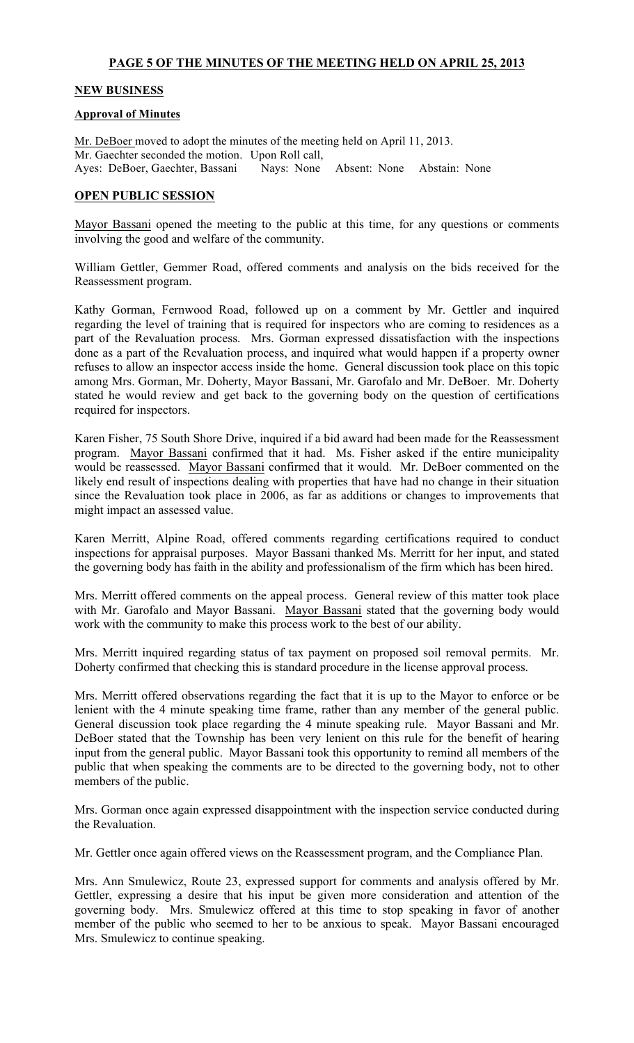# PAGE 5 OF THE MINUTES OF THE MEETING HELD ON APRIL 25, 2013

#### NEW BUSINESS

#### Approval of Minutes

Mr. DeBoer moved to adopt the minutes of the meeting held on April 11, 2013. Mr. Gaechter seconded the motion. Upon Roll call, Ayes: DeBoer, Gaechter, Bassani Nays: None Absent: None Abstain: None

#### OPEN PUBLIC SESSION

Mayor Bassani opened the meeting to the public at this time, for any questions or comments involving the good and welfare of the community.

William Gettler, Gemmer Road, offered comments and analysis on the bids received for the Reassessment program.

Kathy Gorman, Fernwood Road, followed up on a comment by Mr. Gettler and inquired regarding the level of training that is required for inspectors who are coming to residences as a part of the Revaluation process. Mrs. Gorman expressed dissatisfaction with the inspections done as a part of the Revaluation process, and inquired what would happen if a property owner refuses to allow an inspector access inside the home. General discussion took place on this topic among Mrs. Gorman, Mr. Doherty, Mayor Bassani, Mr. Garofalo and Mr. DeBoer. Mr. Doherty stated he would review and get back to the governing body on the question of certifications required for inspectors.

Karen Fisher, 75 South Shore Drive, inquired if a bid award had been made for the Reassessment program. Mayor Bassani confirmed that it had. Ms. Fisher asked if the entire municipality would be reassessed. Mayor Bassani confirmed that it would. Mr. DeBoer commented on the likely end result of inspections dealing with properties that have had no change in their situation since the Revaluation took place in 2006, as far as additions or changes to improvements that might impact an assessed value.

Karen Merritt, Alpine Road, offered comments regarding certifications required to conduct inspections for appraisal purposes. Mayor Bassani thanked Ms. Merritt for her input, and stated the governing body has faith in the ability and professionalism of the firm which has been hired.

Mrs. Merritt offered comments on the appeal process. General review of this matter took place with Mr. Garofalo and Mayor Bassani. Mayor Bassani stated that the governing body would work with the community to make this process work to the best of our ability.

Mrs. Merritt inquired regarding status of tax payment on proposed soil removal permits. Mr. Doherty confirmed that checking this is standard procedure in the license approval process.

Mrs. Merritt offered observations regarding the fact that it is up to the Mayor to enforce or be lenient with the 4 minute speaking time frame, rather than any member of the general public. General discussion took place regarding the 4 minute speaking rule. Mayor Bassani and Mr. DeBoer stated that the Township has been very lenient on this rule for the benefit of hearing input from the general public. Mayor Bassani took this opportunity to remind all members of the public that when speaking the comments are to be directed to the governing body, not to other members of the public.

Mrs. Gorman once again expressed disappointment with the inspection service conducted during the Revaluation.

Mr. Gettler once again offered views on the Reassessment program, and the Compliance Plan.

Mrs. Ann Smulewicz, Route 23, expressed support for comments and analysis offered by Mr. Gettler, expressing a desire that his input be given more consideration and attention of the governing body. Mrs. Smulewicz offered at this time to stop speaking in favor of another member of the public who seemed to her to be anxious to speak. Mayor Bassani encouraged Mrs. Smulewicz to continue speaking.